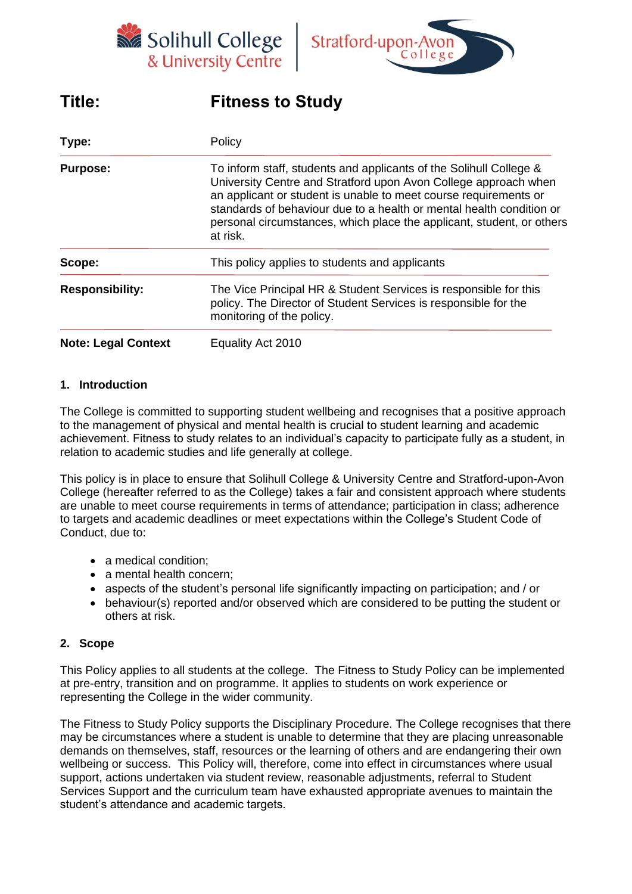



# **Title: Fitness to Study**

| Type:                      | Policy<br>To inform staff, students and applicants of the Solihull College &<br>University Centre and Stratford upon Avon College approach when<br>an applicant or student is unable to meet course requirements or<br>standards of behaviour due to a health or mental health condition or<br>personal circumstances, which place the applicant, student, or others<br>at risk. |  |
|----------------------------|----------------------------------------------------------------------------------------------------------------------------------------------------------------------------------------------------------------------------------------------------------------------------------------------------------------------------------------------------------------------------------|--|
| <b>Purpose:</b>            |                                                                                                                                                                                                                                                                                                                                                                                  |  |
| Scope:                     | This policy applies to students and applicants                                                                                                                                                                                                                                                                                                                                   |  |
| <b>Responsibility:</b>     | The Vice Principal HR & Student Services is responsible for this<br>policy. The Director of Student Services is responsible for the<br>monitoring of the policy.                                                                                                                                                                                                                 |  |
| <b>Note: Legal Context</b> | Equality Act 2010                                                                                                                                                                                                                                                                                                                                                                |  |

#### **1. Introduction**

The College is committed to supporting student wellbeing and recognises that a positive approach to the management of physical and mental health is crucial to student learning and academic achievement. Fitness to study relates to an individual's capacity to participate fully as a student, in relation to academic studies and life generally at college.

This policy is in place to ensure that Solihull College & University Centre and Stratford-upon-Avon College (hereafter referred to as the College) takes a fair and consistent approach where students are unable to meet course requirements in terms of attendance; participation in class; adherence to targets and academic deadlines or meet expectations within the College's Student Code of Conduct, due to:

- a medical condition;
- a mental health concern;
- aspects of the student's personal life significantly impacting on participation; and / or
- behaviour(s) reported and/or observed which are considered to be putting the student or others at risk.

#### **2. Scope**

This Policy applies to all students at the college. The Fitness to Study Policy can be implemented at pre-entry, transition and on programme. It applies to students on work experience or representing the College in the wider community.

The Fitness to Study Policy supports the Disciplinary Procedure. The College recognises that there may be circumstances where a student is unable to determine that they are placing unreasonable demands on themselves, staff, resources or the learning of others and are endangering their own wellbeing or success. This Policy will, therefore, come into effect in circumstances where usual support, actions undertaken via student review, reasonable adjustments, referral to Student Services Support and the curriculum team have exhausted appropriate avenues to maintain the student's attendance and academic targets.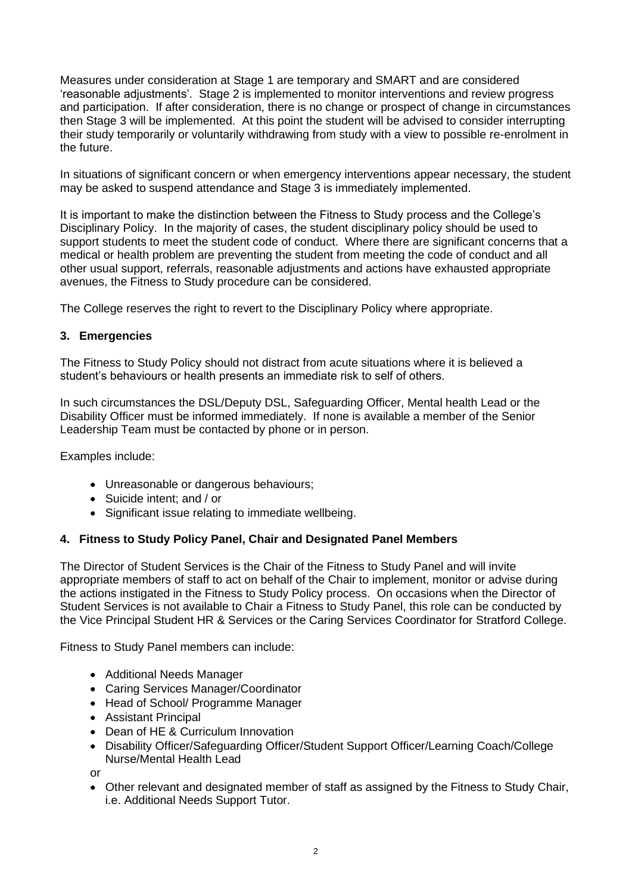Measures under consideration at Stage 1 are temporary and SMART and are considered 'reasonable adjustments'. Stage 2 is implemented to monitor interventions and review progress and participation. If after consideration, there is no change or prospect of change in circumstances then Stage 3 will be implemented. At this point the student will be advised to consider interrupting their study temporarily or voluntarily withdrawing from study with a view to possible re-enrolment in the future.

In situations of significant concern or when emergency interventions appear necessary, the student may be asked to suspend attendance and Stage 3 is immediately implemented.

It is important to make the distinction between the Fitness to Study process and the College's Disciplinary Policy. In the majority of cases, the student disciplinary policy should be used to support students to meet the student code of conduct. Where there are significant concerns that a medical or health problem are preventing the student from meeting the code of conduct and all other usual support, referrals, reasonable adjustments and actions have exhausted appropriate avenues, the Fitness to Study procedure can be considered.

The College reserves the right to revert to the Disciplinary Policy where appropriate.

## **3. Emergencies**

The Fitness to Study Policy should not distract from acute situations where it is believed a student's behaviours or health presents an immediate risk to self of others.

In such circumstances the DSL/Deputy DSL, Safeguarding Officer, Mental health Lead or the Disability Officer must be informed immediately. If none is available a member of the Senior Leadership Team must be contacted by phone or in person.

Examples include:

- Unreasonable or dangerous behaviours;
- Suicide intent; and / or
- Significant issue relating to immediate wellbeing.

#### **4. Fitness to Study Policy Panel, Chair and Designated Panel Members**

The Director of Student Services is the Chair of the Fitness to Study Panel and will invite appropriate members of staff to act on behalf of the Chair to implement, monitor or advise during the actions instigated in the Fitness to Study Policy process. On occasions when the Director of Student Services is not available to Chair a Fitness to Study Panel, this role can be conducted by the Vice Principal Student HR & Services or the Caring Services Coordinator for Stratford College.

Fitness to Study Panel members can include:

- Additional Needs Manager
- Caring Services Manager/Coordinator
- Head of School/ Programme Manager
- Assistant Principal
- Dean of HE & Curriculum Innovation
- Disability Officer/Safeguarding Officer/Student Support Officer/Learning Coach/College Nurse/Mental Health Lead

or

• Other relevant and designated member of staff as assigned by the Fitness to Study Chair, i.e. Additional Needs Support Tutor.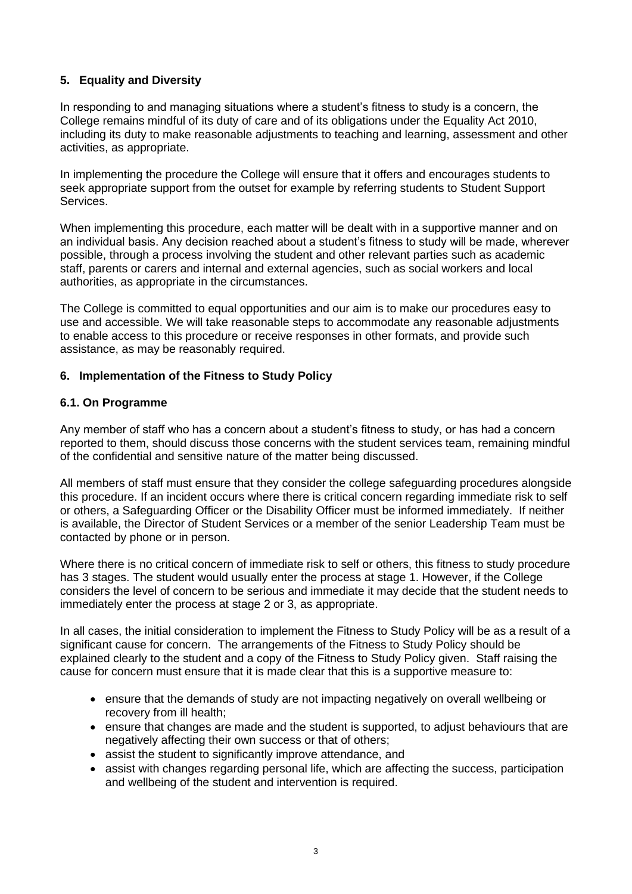## **5. Equality and Diversity**

In responding to and managing situations where a student's fitness to study is a concern, the College remains mindful of its duty of care and of its obligations under the Equality Act 2010, including its duty to make reasonable adjustments to teaching and learning, assessment and other activities, as appropriate.

In implementing the procedure the College will ensure that it offers and encourages students to seek appropriate support from the outset for example by referring students to Student Support Services.

When implementing this procedure, each matter will be dealt with in a supportive manner and on an individual basis. Any decision reached about a student's fitness to study will be made, wherever possible, through a process involving the student and other relevant parties such as academic staff, parents or carers and internal and external agencies, such as social workers and local authorities, as appropriate in the circumstances.

The College is committed to equal opportunities and our aim is to make our procedures easy to use and accessible. We will take reasonable steps to accommodate any reasonable adjustments to enable access to this procedure or receive responses in other formats, and provide such assistance, as may be reasonably required.

#### **6. Implementation of the Fitness to Study Policy**

#### **6.1. On Programme**

Any member of staff who has a concern about a student's fitness to study, or has had a concern reported to them, should discuss those concerns with the student services team, remaining mindful of the confidential and sensitive nature of the matter being discussed.

All members of staff must ensure that they consider the college safeguarding procedures alongside this procedure. If an incident occurs where there is critical concern regarding immediate risk to self or others, a Safeguarding Officer or the Disability Officer must be informed immediately. If neither is available, the Director of Student Services or a member of the senior Leadership Team must be contacted by phone or in person.

Where there is no critical concern of immediate risk to self or others, this fitness to study procedure has 3 stages. The student would usually enter the process at stage 1. However, if the College considers the level of concern to be serious and immediate it may decide that the student needs to immediately enter the process at stage 2 or 3, as appropriate.

In all cases, the initial consideration to implement the Fitness to Study Policy will be as a result of a significant cause for concern. The arrangements of the Fitness to Study Policy should be explained clearly to the student and a copy of the Fitness to Study Policy given. Staff raising the cause for concern must ensure that it is made clear that this is a supportive measure to:

- ensure that the demands of study are not impacting negatively on overall wellbeing or recovery from ill health;
- ensure that changes are made and the student is supported, to adjust behaviours that are negatively affecting their own success or that of others;
- assist the student to significantly improve attendance, and
- assist with changes regarding personal life, which are affecting the success, participation and wellbeing of the student and intervention is required.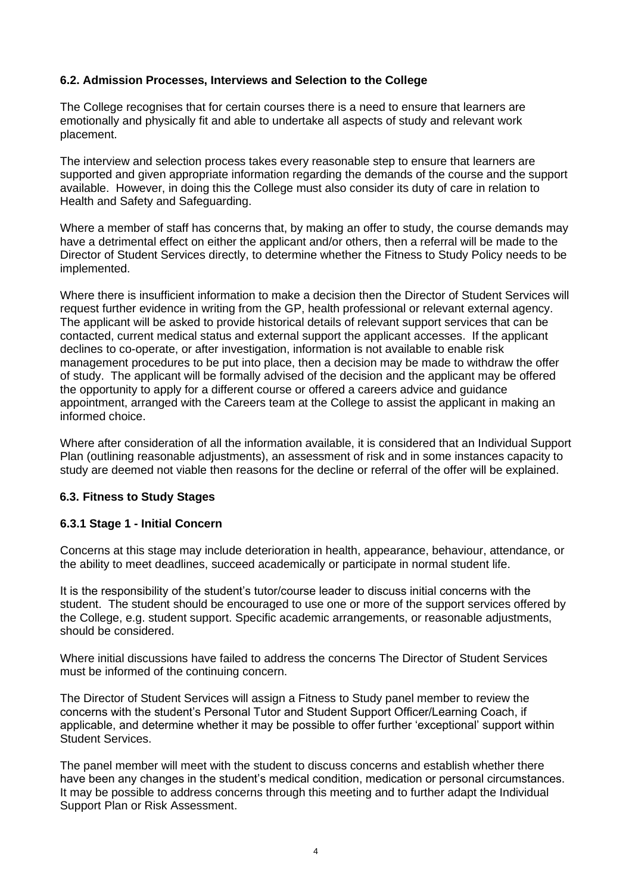#### **6.2. Admission Processes, Interviews and Selection to the College**

The College recognises that for certain courses there is a need to ensure that learners are emotionally and physically fit and able to undertake all aspects of study and relevant work placement.

The interview and selection process takes every reasonable step to ensure that learners are supported and given appropriate information regarding the demands of the course and the support available. However, in doing this the College must also consider its duty of care in relation to Health and Safety and Safeguarding.

Where a member of staff has concerns that, by making an offer to study, the course demands may have a detrimental effect on either the applicant and/or others, then a referral will be made to the Director of Student Services directly, to determine whether the Fitness to Study Policy needs to be implemented.

Where there is insufficient information to make a decision then the Director of Student Services will request further evidence in writing from the GP, health professional or relevant external agency. The applicant will be asked to provide historical details of relevant support services that can be contacted, current medical status and external support the applicant accesses. If the applicant declines to co-operate, or after investigation, information is not available to enable risk management procedures to be put into place, then a decision may be made to withdraw the offer of study. The applicant will be formally advised of the decision and the applicant may be offered the opportunity to apply for a different course or offered a careers advice and guidance appointment, arranged with the Careers team at the College to assist the applicant in making an informed choice.

Where after consideration of all the information available, it is considered that an Individual Support Plan (outlining reasonable adjustments), an assessment of risk and in some instances capacity to study are deemed not viable then reasons for the decline or referral of the offer will be explained.

#### **6.3. Fitness to Study Stages**

#### **6.3.1 Stage 1 - Initial Concern**

Concerns at this stage may include deterioration in health, appearance, behaviour, attendance, or the ability to meet deadlines, succeed academically or participate in normal student life.

It is the responsibility of the student's tutor/course leader to discuss initial concerns with the student. The student should be encouraged to use one or more of the support services offered by the College, e.g. student support. Specific academic arrangements, or reasonable adjustments, should be considered.

Where initial discussions have failed to address the concerns The Director of Student Services must be informed of the continuing concern.

The Director of Student Services will assign a Fitness to Study panel member to review the concerns with the student's Personal Tutor and Student Support Officer/Learning Coach, if applicable, and determine whether it may be possible to offer further 'exceptional' support within Student Services.

The panel member will meet with the student to discuss concerns and establish whether there have been any changes in the student's medical condition, medication or personal circumstances. It may be possible to address concerns through this meeting and to further adapt the Individual Support Plan or Risk Assessment.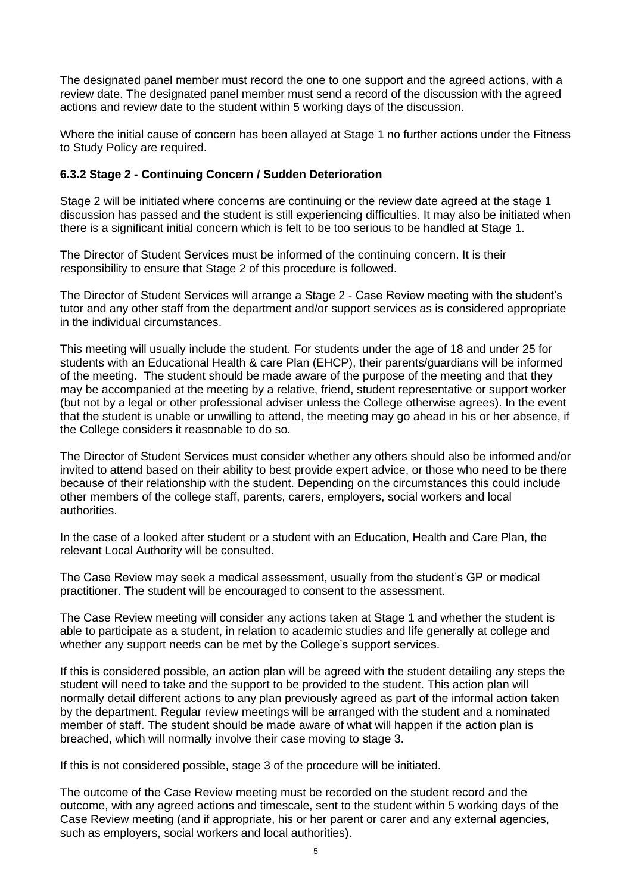The designated panel member must record the one to one support and the agreed actions, with a review date. The designated panel member must send a record of the discussion with the agreed actions and review date to the student within 5 working days of the discussion.

Where the initial cause of concern has been allayed at Stage 1 no further actions under the Fitness to Study Policy are required.

#### **6.3.2 Stage 2 - Continuing Concern / Sudden Deterioration**

Stage 2 will be initiated where concerns are continuing or the review date agreed at the stage 1 discussion has passed and the student is still experiencing difficulties. It may also be initiated when there is a significant initial concern which is felt to be too serious to be handled at Stage 1.

The Director of Student Services must be informed of the continuing concern. It is their responsibility to ensure that Stage 2 of this procedure is followed.

The Director of Student Services will arrange a Stage 2 - Case Review meeting with the student's tutor and any other staff from the department and/or support services as is considered appropriate in the individual circumstances.

This meeting will usually include the student. For students under the age of 18 and under 25 for students with an Educational Health & care Plan (EHCP), their parents/guardians will be informed of the meeting. The student should be made aware of the purpose of the meeting and that they may be accompanied at the meeting by a relative, friend, student representative or support worker (but not by a legal or other professional adviser unless the College otherwise agrees). In the event that the student is unable or unwilling to attend, the meeting may go ahead in his or her absence, if the College considers it reasonable to do so.

The Director of Student Services must consider whether any others should also be informed and/or invited to attend based on their ability to best provide expert advice, or those who need to be there because of their relationship with the student. Depending on the circumstances this could include other members of the college staff, parents, carers, employers, social workers and local authorities.

In the case of a looked after student or a student with an Education, Health and Care Plan, the relevant Local Authority will be consulted.

The Case Review may seek a medical assessment, usually from the student's GP or medical practitioner. The student will be encouraged to consent to the assessment.

The Case Review meeting will consider any actions taken at Stage 1 and whether the student is able to participate as a student, in relation to academic studies and life generally at college and whether any support needs can be met by the College's support services.

If this is considered possible, an action plan will be agreed with the student detailing any steps the student will need to take and the support to be provided to the student. This action plan will normally detail different actions to any plan previously agreed as part of the informal action taken by the department. Regular review meetings will be arranged with the student and a nominated member of staff. The student should be made aware of what will happen if the action plan is breached, which will normally involve their case moving to stage 3.

If this is not considered possible, stage 3 of the procedure will be initiated.

The outcome of the Case Review meeting must be recorded on the student record and the outcome, with any agreed actions and timescale, sent to the student within 5 working days of the Case Review meeting (and if appropriate, his or her parent or carer and any external agencies, such as employers, social workers and local authorities).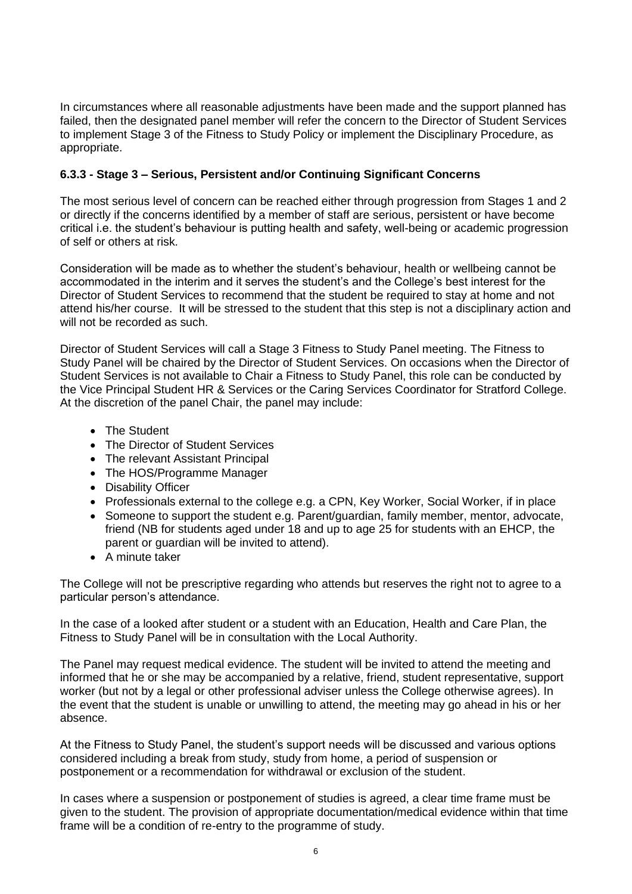In circumstances where all reasonable adjustments have been made and the support planned has failed, then the designated panel member will refer the concern to the Director of Student Services to implement Stage 3 of the Fitness to Study Policy or implement the Disciplinary Procedure, as appropriate.

## **6.3.3 - Stage 3 – Serious, Persistent and/or Continuing Significant Concerns**

The most serious level of concern can be reached either through progression from Stages 1 and 2 or directly if the concerns identified by a member of staff are serious, persistent or have become critical i.e. the student's behaviour is putting health and safety, well-being or academic progression of self or others at risk.

Consideration will be made as to whether the student's behaviour, health or wellbeing cannot be accommodated in the interim and it serves the student's and the College's best interest for the Director of Student Services to recommend that the student be required to stay at home and not attend his/her course. It will be stressed to the student that this step is not a disciplinary action and will not be recorded as such.

Director of Student Services will call a Stage 3 Fitness to Study Panel meeting. The Fitness to Study Panel will be chaired by the Director of Student Services. On occasions when the Director of Student Services is not available to Chair a Fitness to Study Panel, this role can be conducted by the Vice Principal Student HR & Services or the Caring Services Coordinator for Stratford College. At the discretion of the panel Chair, the panel may include:

- The Student
- The Director of Student Services
- The relevant Assistant Principal
- The HOS/Programme Manager
- Disability Officer
- Professionals external to the college e.g. a CPN, Key Worker, Social Worker, if in place
- Someone to support the student e.g. Parent/guardian, family member, mentor, advocate, friend (NB for students aged under 18 and up to age 25 for students with an EHCP, the parent or guardian will be invited to attend).
- A minute taker

The College will not be prescriptive regarding who attends but reserves the right not to agree to a particular person's attendance.

In the case of a looked after student or a student with an Education, Health and Care Plan, the Fitness to Study Panel will be in consultation with the Local Authority.

The Panel may request medical evidence. The student will be invited to attend the meeting and informed that he or she may be accompanied by a relative, friend, student representative, support worker (but not by a legal or other professional adviser unless the College otherwise agrees). In the event that the student is unable or unwilling to attend, the meeting may go ahead in his or her absence.

At the Fitness to Study Panel, the student's support needs will be discussed and various options considered including a break from study, study from home, a period of suspension or postponement or a recommendation for withdrawal or exclusion of the student.

In cases where a suspension or postponement of studies is agreed, a clear time frame must be given to the student. The provision of appropriate documentation/medical evidence within that time frame will be a condition of re-entry to the programme of study.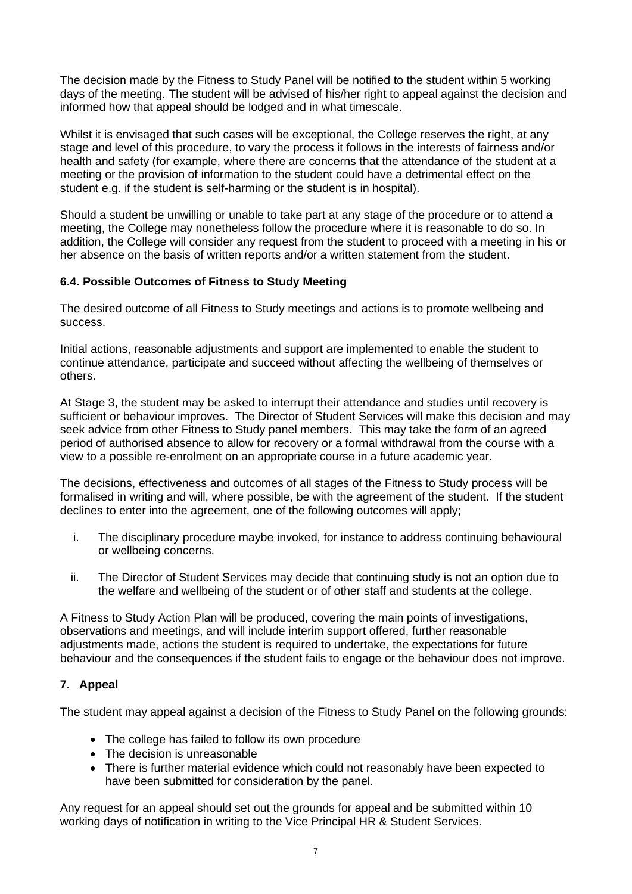The decision made by the Fitness to Study Panel will be notified to the student within 5 working days of the meeting. The student will be advised of his/her right to appeal against the decision and informed how that appeal should be lodged and in what timescale.

Whilst it is envisaged that such cases will be exceptional, the College reserves the right, at any stage and level of this procedure, to vary the process it follows in the interests of fairness and/or health and safety (for example, where there are concerns that the attendance of the student at a meeting or the provision of information to the student could have a detrimental effect on the student e.g. if the student is self-harming or the student is in hospital).

Should a student be unwilling or unable to take part at any stage of the procedure or to attend a meeting, the College may nonetheless follow the procedure where it is reasonable to do so. In addition, the College will consider any request from the student to proceed with a meeting in his or her absence on the basis of written reports and/or a written statement from the student.

## **6.4. Possible Outcomes of Fitness to Study Meeting**

The desired outcome of all Fitness to Study meetings and actions is to promote wellbeing and success.

Initial actions, reasonable adjustments and support are implemented to enable the student to continue attendance, participate and succeed without affecting the wellbeing of themselves or others.

At Stage 3, the student may be asked to interrupt their attendance and studies until recovery is sufficient or behaviour improves. The Director of Student Services will make this decision and may seek advice from other Fitness to Study panel members. This may take the form of an agreed period of authorised absence to allow for recovery or a formal withdrawal from the course with a view to a possible re-enrolment on an appropriate course in a future academic year.

The decisions, effectiveness and outcomes of all stages of the Fitness to Study process will be formalised in writing and will, where possible, be with the agreement of the student. If the student declines to enter into the agreement, one of the following outcomes will apply;

- i. The disciplinary procedure maybe invoked, for instance to address continuing behavioural or wellbeing concerns.
- ii. The Director of Student Services may decide that continuing study is not an option due to the welfare and wellbeing of the student or of other staff and students at the college.

A Fitness to Study Action Plan will be produced, covering the main points of investigations, observations and meetings, and will include interim support offered, further reasonable adjustments made, actions the student is required to undertake, the expectations for future behaviour and the consequences if the student fails to engage or the behaviour does not improve.

## **7. Appeal**

The student may appeal against a decision of the Fitness to Study Panel on the following grounds:

- The college has failed to follow its own procedure
- The decision is unreasonable
- There is further material evidence which could not reasonably have been expected to have been submitted for consideration by the panel.

Any request for an appeal should set out the grounds for appeal and be submitted within 10 working days of notification in writing to the Vice Principal HR & Student Services.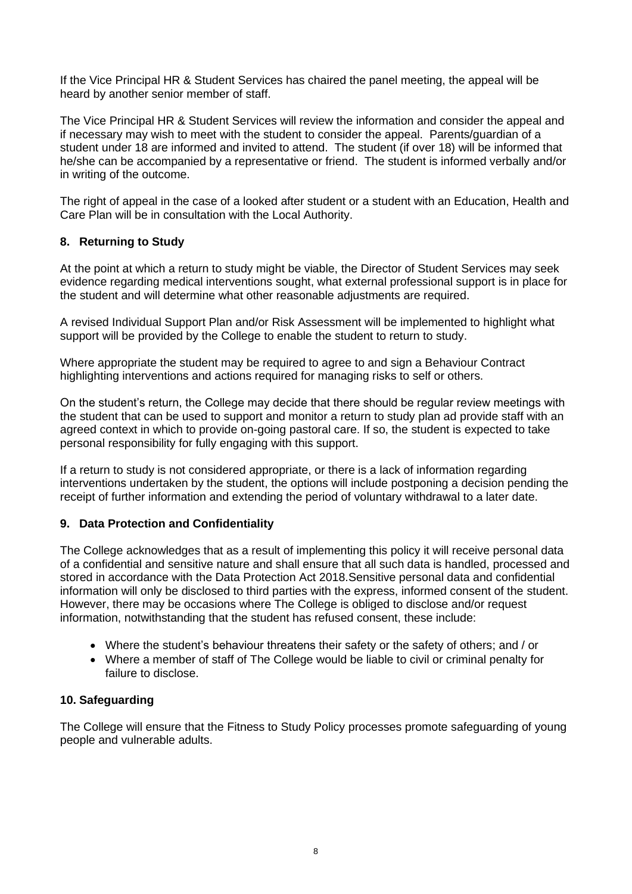If the Vice Principal HR & Student Services has chaired the panel meeting, the appeal will be heard by another senior member of staff.

The Vice Principal HR & Student Services will review the information and consider the appeal and if necessary may wish to meet with the student to consider the appeal. Parents/guardian of a student under 18 are informed and invited to attend. The student (if over 18) will be informed that he/she can be accompanied by a representative or friend. The student is informed verbally and/or in writing of the outcome.

The right of appeal in the case of a looked after student or a student with an Education, Health and Care Plan will be in consultation with the Local Authority.

#### **8. Returning to Study**

At the point at which a return to study might be viable, the Director of Student Services may seek evidence regarding medical interventions sought, what external professional support is in place for the student and will determine what other reasonable adjustments are required.

A revised Individual Support Plan and/or Risk Assessment will be implemented to highlight what support will be provided by the College to enable the student to return to study.

Where appropriate the student may be required to agree to and sign a Behaviour Contract highlighting interventions and actions required for managing risks to self or others.

On the student's return, the College may decide that there should be regular review meetings with the student that can be used to support and monitor a return to study plan ad provide staff with an agreed context in which to provide on-going pastoral care. If so, the student is expected to take personal responsibility for fully engaging with this support.

If a return to study is not considered appropriate, or there is a lack of information regarding interventions undertaken by the student, the options will include postponing a decision pending the receipt of further information and extending the period of voluntary withdrawal to a later date.

## **9. Data Protection and Confidentiality**

The College acknowledges that as a result of implementing this policy it will receive personal data of a confidential and sensitive nature and shall ensure that all such data is handled, processed and stored in accordance with the Data Protection Act 2018.Sensitive personal data and confidential information will only be disclosed to third parties with the express, informed consent of the student. However, there may be occasions where The College is obliged to disclose and/or request information, notwithstanding that the student has refused consent, these include:

- Where the student's behaviour threatens their safety or the safety of others; and / or
- Where a member of staff of The College would be liable to civil or criminal penalty for failure to disclose.

#### **10. Safeguarding**

The College will ensure that the Fitness to Study Policy processes promote safeguarding of young people and vulnerable adults.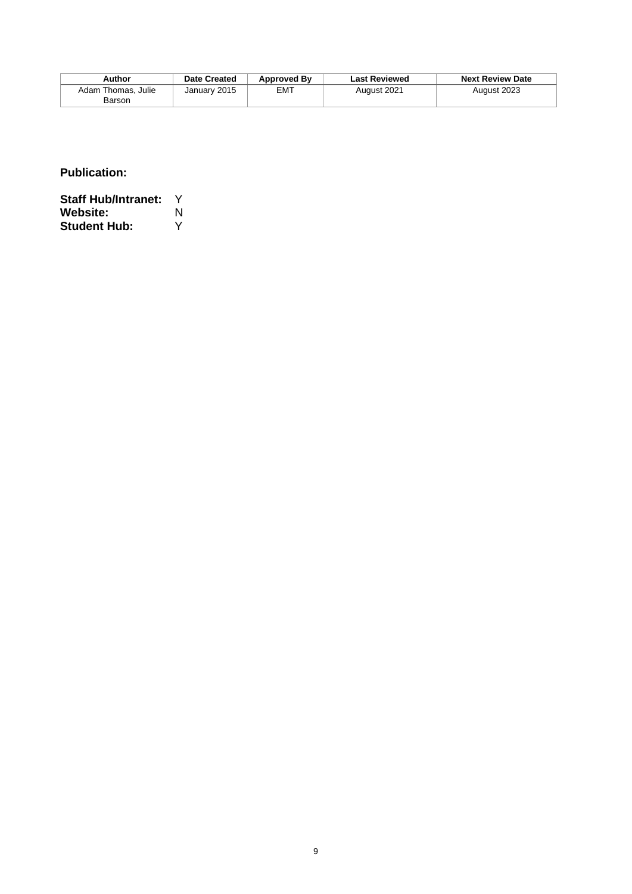| Author                       | Date Created | <b>Approved By</b> | <b>Last Reviewed</b> | <b>Next Review Date</b> |
|------------------------------|--------------|--------------------|----------------------|-------------------------|
| Adam Thomas, Julie<br>Barson | January 2015 | EMT                | August 2021          | August 2023             |

**Publication:** 

**Staff Hub/Intranet:** Y **Website:** N<br>**Student Hub:** Y **Student Hub:**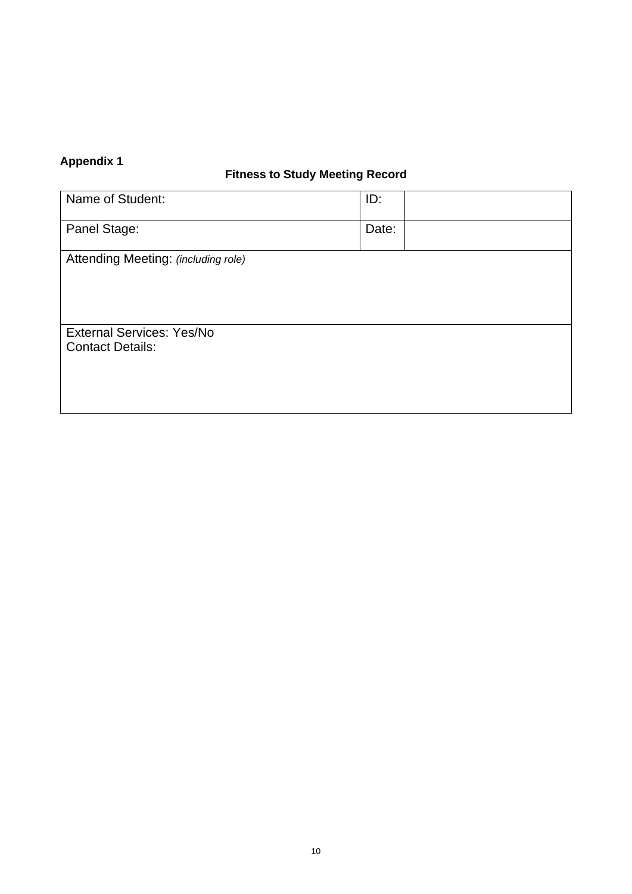## **Appendix 1**

## **Fitness to Study Meeting Record**

| Name of Student:                                            | ID:   |  |
|-------------------------------------------------------------|-------|--|
| Panel Stage:                                                | Date: |  |
| Attending Meeting: (including role)                         |       |  |
|                                                             |       |  |
| <b>External Services: Yes/No</b><br><b>Contact Details:</b> |       |  |
|                                                             |       |  |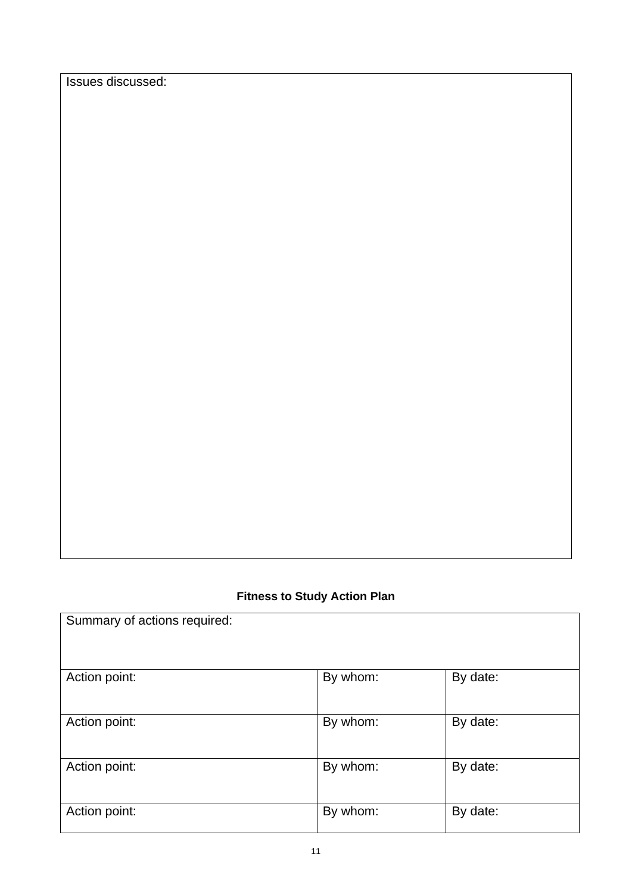Issues discussed:

## **Fitness to Study Action Plan**

| Summary of actions required: |          |          |
|------------------------------|----------|----------|
| Action point:                | By whom: | By date: |
| Action point:                | By whom: | By date: |
| Action point:                | By whom: | By date: |
| Action point:                | By whom: | By date: |